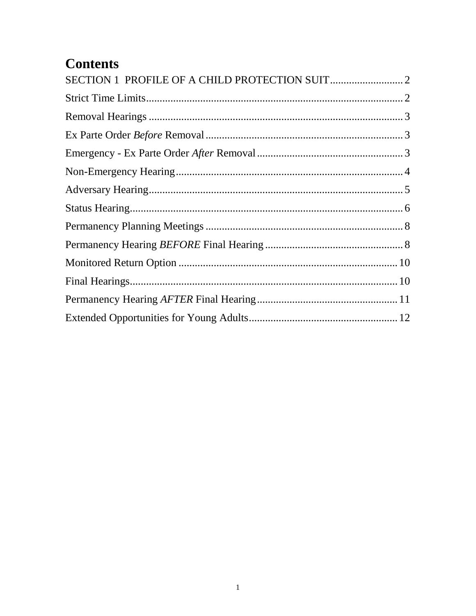# **Contents**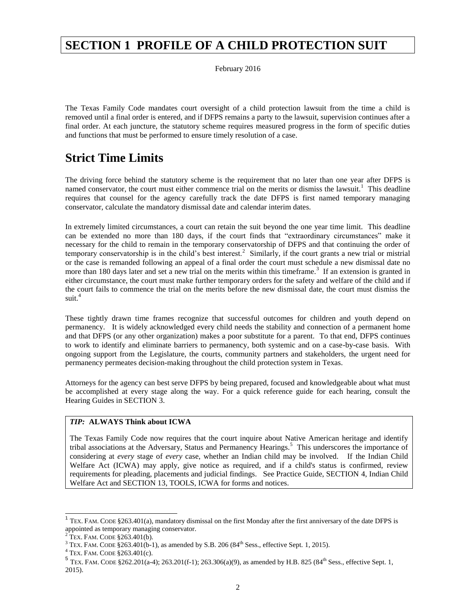### <span id="page-1-0"></span>**SECTION 1 PROFILE OF A CHILD PROTECTION SUIT**

February 2016

The Texas Family Code mandates court oversight of a child protection lawsuit from the time a child is removed until a final order is entered, and if DFPS remains a party to the lawsuit, supervision continues after a final order. At each juncture, the statutory scheme requires measured progress in the form of specific duties and functions that must be performed to ensure timely resolution of a case.

### <span id="page-1-1"></span>**Strict Time Limits**

The driving force behind the statutory scheme is the requirement that no later than one year after DFPS is named conservator, the court must either commence trial on the merits or dismiss the lawsuit.<sup>1</sup> This deadline requires that counsel for the agency carefully track the date DFPS is first named temporary managing conservator, calculate the mandatory dismissal date and calendar interim dates.

In extremely limited circumstances, a court can retain the suit beyond the one year time limit. This deadline can be extended no more than 180 days, if the court finds that "extraordinary circumstances" make it necessary for the child to remain in the temporary conservatorship of DFPS and that continuing the order of temporary conservatorship is in the child's best interest.<sup>2</sup> Similarly, if the court grants a new trial or mistrial or the case is remanded following an appeal of a final order the court must schedule a new dismissal date no more than 180 days later and set a new trial on the merits within this timeframe.<sup>3</sup> If an extension is granted in either circumstance, the court must make further temporary orders for the safety and welfare of the child and if the court fails to commence the trial on the merits before the new dismissal date, the court must dismiss the suit. $4$ 

These tightly drawn time frames recognize that successful outcomes for children and youth depend on permanency. It is widely acknowledged every child needs the stability and connection of a permanent home and that DFPS (or any other organization) makes a poor substitute for a parent. To that end, DFPS continues to work to identify and eliminate barriers to permanency, both systemic and on a case-by-case basis. With ongoing support from the Legislature, the courts, community partners and stakeholders, the urgent need for permanency permeates decision-making throughout the child protection system in Texas.

Attorneys for the agency can best serve DFPS by being prepared, focused and knowledgeable about what must be accomplished at every stage along the way. For a quick reference guide for each hearing, consult the Hearing Guides in SECTION 3.

#### *TIP:* **ALWAYS Think about ICWA**

The Texas Family Code now requires that the court inquire about Native American heritage and identify tribal associations at the Adversary, Status and Permanency Hearings.<sup>5</sup> This underscores the importance of considering at *every* stage of *every* case, whether an Indian child may be involved. If the Indian Child Welfare Act (ICWA) may apply, give notice as required, and if a child's status is confirmed, review requirements for pleading, placements and judicial findings. See Practice Guide, SECTION 4, Indian Child Welfare Act and SECTION 13, TOOLS, ICWA for forms and notices.

 $\overline{\phantom{a}}$ 

<sup>&</sup>lt;sup>1</sup> TEX. FAM. CODE §263.401(a), mandatory dismissal on the first Monday after the first anniversary of the date DFPS is appointed as temporary managing conservator.<br><sup>2</sup> TEX. FAM. CODE §263.401(b).

<sup>&</sup>lt;sup>3</sup> TEX. FAM. CODE  $$263.401(b-1)$ , as amended by S.B. 206 (84<sup>th</sup> Sess., effective Sept. 1, 2015).

<sup>4</sup> TEX. FAM. CODE §263.401(c).

<sup>&</sup>lt;sup>5</sup> TEX. FAM. CODE §262.201(a-4); 263.201(f-1); 263.306(a)(9), as amended by H.B. 825 (84<sup>th</sup> Sess., effective Sept. 1, 2015).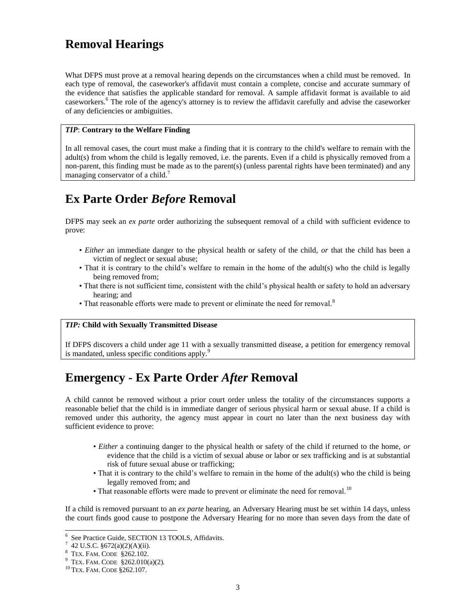# <span id="page-2-0"></span>**Removal Hearings**

What DFPS must prove at a removal hearing depends on the circumstances when a child must be removed. In each type of removal, the caseworker's affidavit must contain a complete, concise and accurate summary of the evidence that satisfies the applicable standard for removal. A sample affidavit format is available to aid caseworkers.<sup>6</sup> The role of the agency's attorney is to review the affidavit carefully and advise the caseworker of any deficiencies or ambiguities.

#### *TIP*: **Contrary to the Welfare Finding**

In all removal cases, the court must make a finding that it is contrary to the child's welfare to remain with the adult(s) from whom the child is legally removed, i.e. the parents. Even if a child is physically removed from a non-parent, this finding must be made as to the parent(s) (unless parental rights have been terminated) and any managing conservator of a child.<sup>7</sup>

# <span id="page-2-1"></span>**Ex Parte Order** *Before* **Removal**

DFPS may seek an *ex parte* order authorizing the subsequent removal of a child with sufficient evidence to prove:

- *Either* an immediate danger to the physical health or safety of the child, *or* that the child has been a victim of neglect or sexual abuse;
- That it is contrary to the child's welfare to remain in the home of the adult(s) who the child is legally being removed from;
- That there is not sufficient time, consistent with the child's physical health or safety to hold an adversary hearing; and
- That reasonable efforts were made to prevent or eliminate the need for removal.<sup>8</sup>

#### *TIP:* **Child with Sexually Transmitted Disease**

If DFPS discovers a child under age 11 with a sexually transmitted disease, a petition for emergency removal is mandated, unless specific conditions apply.<sup>9</sup>

# <span id="page-2-2"></span>**Emergency - Ex Parte Order** *After* **Removal**

A child cannot be removed without a prior court order unless the totality of the circumstances supports a reasonable belief that the child is in immediate danger of serious physical harm or sexual abuse. If a child is removed under this authority, the agency must appear in court no later than the next business day with sufficient evidence to prove:

- *Either* a continuing danger to the physical health or safety of the child if returned to the home, *or*  evidence that the child is a victim of sexual abuse or labor or sex trafficking and is at substantial risk of future sexual abuse or trafficking;
- That it is contrary to the child's welfare to remain in the home of the adult(s) who the child is being legally removed from; and
- That reasonable efforts were made to prevent or eliminate the need for removal.<sup>10</sup>

If a child is removed pursuant to an *ex parte* hearing, an Adversary Hearing must be set within 14 days, unless the court finds good cause to postpone the Adversary Hearing for no more than seven days from the date of

<sup>6</sup> See Practice Guide, SECTION 13 TOOLS, Affidavits.

 $7\,$  42 U.S.C. §672(a)(2)(A)(ii).

<sup>8</sup> TEX. FAM. CODE §262.102.

<sup>&</sup>lt;sup>9</sup> TEX. FAM. CODE  $$262.010(a)(2)$ .

<sup>10</sup> TEX. FAM. CODE §262.107.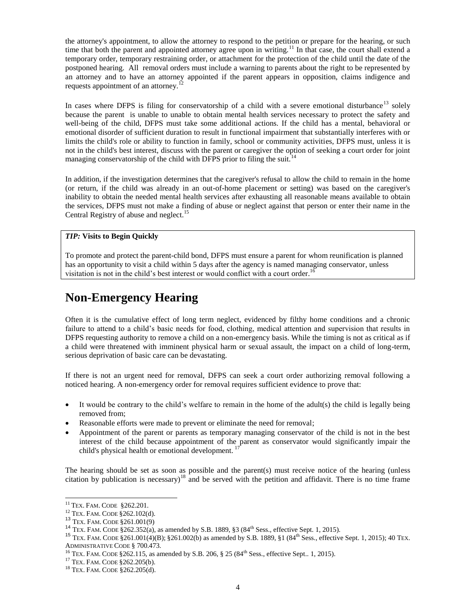the attorney's appointment, to allow the attorney to respond to the petition or prepare for the hearing, or such time that both the parent and appointed attorney agree upon in writing.<sup>11</sup> In that case, the court shall extend a temporary order, temporary restraining order, or attachment for the protection of the child until the date of the postponed hearing. All removal orders must include a warning to parents about the right to be represented by an attorney and to have an attorney appointed if the parent appears in opposition, claims indigence and requests appointment of an attorney.<sup>12</sup>

In cases where DFPS is filing for conservatorship of a child with a severe emotional disturbance<sup>13</sup> solely because the parent is unable to unable to obtain mental health services necessary to protect the safety and well-being of the child, DFPS must take some additional actions. If the child has a mental, behavioral or emotional disorder of sufficient duration to result in functional impairment that substantially interferes with or limits the child's role or ability to function in family, school or community activities, DFPS must, unless it is not in the child's best interest, discuss with the parent or caregiver the option of seeking a court order for joint managing conservatorship of the child with DFPS prior to filing the suit.<sup>14</sup>

In addition, if the investigation determines that the caregiver's refusal to allow the child to remain in the home (or return, if the child was already in an out-of-home placement or setting) was based on the caregiver's inability to obtain the needed mental health services after exhausting all reasonable means available to obtain the services, DFPS must not make a finding of abuse or neglect against that person or enter their name in the Central Registry of abuse and neglect.<sup>15</sup>

#### *TIP:* **Visits to Begin Quickly**

To promote and protect the parent-child bond, DFPS must ensure a parent for whom reunification is planned has an opportunity to visit a child within 5 days after the agency is named managing conservator, unless visitation is not in the child's best interest or would conflict with a court order.<sup>16</sup>

# <span id="page-3-0"></span>**Non-Emergency Hearing**

Often it is the cumulative effect of long term neglect, evidenced by filthy home conditions and a chronic failure to attend to a child's basic needs for food, clothing, medical attention and supervision that results in DFPS requesting authority to remove a child on a non-emergency basis. While the timing is not as critical as if a child were threatened with imminent physical harm or sexual assault, the impact on a child of long-term, serious deprivation of basic care can be devastating.

If there is not an urgent need for removal, DFPS can seek a court order authorizing removal following a noticed hearing. A non-emergency order for removal requires sufficient evidence to prove that:

- It would be contrary to the child's welfare to remain in the home of the adult(s) the child is legally being removed from;
- Reasonable efforts were made to prevent or eliminate the need for removal;
- Appointment of the parent or parents as temporary managing conservator of the child is not in the best interest of the child because appointment of the parent as conservator would significantly impair the child's physical health or emotional development.<sup>17</sup>

The hearing should be set as soon as possible and the parent(s) must receive notice of the hearing (unless citation by publication is necessary)<sup>18</sup> and be served with the petition and affidavit. There is no time frame

<sup>&</sup>lt;sup>11</sup> TEX. FAM. CODE §262.201.

<sup>12</sup> TEX. FAM. CODE §262.102(d).

<sup>13</sup> TEX. FAM. CODE §261.001(9)

<sup>&</sup>lt;sup>14</sup> TEX. FAM. CODE §262.352(a), as amended by S.B. 1889, §3 (84<sup>th</sup> Sess., effective Sept. 1, 2015).

<sup>&</sup>lt;sup>15</sup> TEX. FAM. CODE §261.001(4)(B); §261.002(b) as amended by S.B. 1889, §1 (84<sup>th</sup> Sess., effective Sept. 1, 2015); 40 TEX. ADMINISTRATIVE CODE § 700.473.

<sup>&</sup>lt;sup>16</sup> TEX. FAM. CODE §262.115, as amended by S.B. 206, § 25 (84<sup>th</sup> Sess., effective Sept.. 1, 2015).

<sup>&</sup>lt;sup>17</sup> TEX. FAM. CODE §262.205(b).

<sup>18</sup> TEX. FAM. CODE §262.205(d).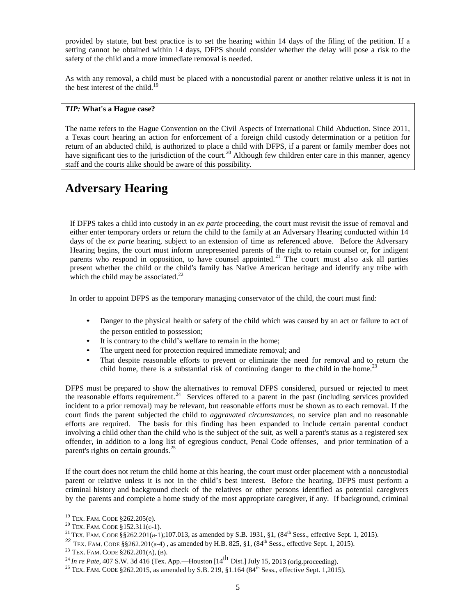provided by statute, but best practice is to set the hearing within 14 days of the filing of the petition. If a setting cannot be obtained within 14 days, DFPS should consider whether the delay will pose a risk to the safety of the child and a more immediate removal is needed.

As with any removal, a child must be placed with a noncustodial parent or another relative unless it is not in the best interest of the child. $19$ 

#### *TIP:* **What's a Hague case?**

The name refers to the Hague Convention on the Civil Aspects of International Child Abduction. Since 2011, a Texas court hearing an action for enforcement of a foreign child custody determination or a petition for return of an abducted child, is authorized to place a child with DFPS, if a parent or family member does not have significant ties to the jurisdiction of the court.<sup>20</sup> Although few children enter care in this manner, agency staff and the courts alike should be aware of this possibility.

# <span id="page-4-0"></span>**Adversary Hearing**

If DFPS takes a child into custody in an *ex parte* proceeding, the court must revisit the issue of removal and either enter temporary orders or return the child to the family at an Adversary Hearing conducted within 14 days of the *ex parte* hearing, subject to an extension of time as referenced above. Before the Adversary Hearing begins, the court must inform unrepresented parents of the right to retain counsel or, for indigent parents who respond in opposition, to have counsel appointed.<sup>21</sup> The court must also ask all parties present whether the child or the child's family has Native American heritage and identify any tribe with which the child may be associated. $^{22}$ 

In order to appoint DFPS as the temporary managing conservator of the child, the court must find:

- Danger to the physical health or safety of the child which was caused by an act or failure to act of the person entitled to possession;
- It is contrary to the child's welfare to remain in the home;
- The urgent need for protection required immediate removal; and
- That despite reasonable efforts to prevent or eliminate the need for removal and to return the child home, there is a substantial risk of continuing danger to the child in the home.<sup>2</sup>

DFPS must be prepared to show the alternatives to removal DFPS considered, pursued or rejected to meet the reasonable efforts requirement.<sup>24</sup> Services offered to a parent in the past (including services provided incident to a prior removal) may be relevant, but reasonable efforts must be shown as to each removal. If the court finds the parent subjected the child to *aggravated circumstances*, no service plan and no reasonable efforts are required. The basis for this finding has been expanded to include certain parental conduct involving a child other than the child who is the subject of the suit, as well a parent's status as a registered sex offender, in addition to a long list of egregious conduct, Penal Code offenses, and prior termination of a parent's rights on certain grounds.<sup>25</sup>

If the court does not return the child home at this hearing, the court must order placement with a noncustodial parent or relative unless it is not in the child's best interest. Before the hearing, DFPS must perform a criminal history and background check of the relatives or other persons identified as potential caregivers by the parents and complete a home study of the most appropriate caregiver, if any. If background, criminal

l  $19$  Tex. Fam. CODE  $$262.205(e)$ .

<sup>20</sup> TEX. FAM. CODE §152.311(c-1).

<sup>&</sup>lt;sup>21</sup> TEX. FAM. CODE §§262.201(a-1);107.013, as amended by S.B. 1931, §1, (84<sup>th</sup> Sess., effective Sept. 1, 2015).

<sup>&</sup>lt;sup>22</sup> TEX. FAM. CODE §§262.201(a-4), as amended by H.B. 825, §1, (84<sup>th</sup> Sess., effective Sept. 1, 2015).

<sup>23</sup> TEX. FAM. CODE §262.201(A), (B).

<sup>&</sup>lt;sup>24</sup> *In re Pate*, 407 S.W. 3d 416 (Tex. App.—Houston [14<sup>th</sup> Dist.] July 15, 2013 (orig.proceeding).

<sup>&</sup>lt;sup>25</sup> TEX. FAM. CODE §262.2015, as amended by S.B. 219, §1.164 (84<sup>th</sup> Sess., effective Sept. 1,2015).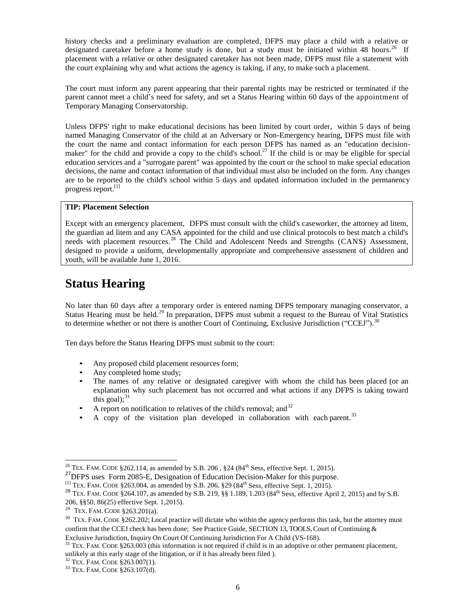history checks and a preliminary evaluation are completed, DFPS may place a child with a relative or designated caretaker before a home study is done, but a study must be initiated within 48 hours.<sup>26</sup> If placement with a relative or other designated caretaker has not been made, DFPS must file a statement with the court explaining why and what actions the agency is taking, if any, to make such a placement.

The court must inform any parent appearing that their parental rights may be restricted or terminated if the parent cannot meet a child's need for safety, and set a Status Hearing within 60 days of the appointment of Temporary Managing Conservatorship.

Unless DFPS' right to make educational decisions has been limited by court order, within 5 days of being named Managing Conservator of the child at an Adversary or Non-Emergency hearing, DFPS must file with the court the name and contact information for each person DFPS has named as an "education decisionmaker" for the child and provide a copy to the child's school.<sup>27</sup> If the child is or may be eligible for special education services and a "surrogate parent" was appointed by the court or the school to make special education decisions, the name and contact information of that individual must also be included on the form. Any changes are to be reported to the child's school within 5 days and updated information included in the permanency progress report.<sup>[1]</sup>

#### **TIP: Placement Selection**

Except with an emergency placement, DFPS must consult with the child's caseworker, the attorney ad litem, the guardian ad litem and any CASA appointed for the child and use clinical protocols to best match a child's needs with placement resources.<sup>28</sup> The Child and Adolescent Needs and Strengths (CANS) Assessment, designed to provide a uniform, developmentally appropriate and comprehensive assessment of children and youth, will be available June 1, 2016.

# <span id="page-5-0"></span>**Status Hearing**

No later than 60 days after a temporary order is entered naming DFPS temporary managing conservator, a Status Hearing must be held.<sup>29</sup> In preparation, DFPS must submit a request to the Bureau of Vital Statistics to determine whether or not there is another Court of Continuing, Exclusive Jurisdiction ("CCEJ").<sup>30</sup>

Ten days before the Status Hearing DFPS must submit to the court:

- Any proposed child placement resources form;
- Any completed home study;
- The names of any relative or designated caregiver with whom the child has been placed (or an explanation why such placement has not occurred and what actions if any DFPS is taking toward this goal); $^{31}$
- A report on notification to relatives of the child's removal; and  $32$
- A copy of the visitation plan developed in collaboration with each parent.<sup>33</sup>

<sup>&</sup>lt;sup>26</sup> TEX. FAM. CODE §262.114, as amended by S.B. 206, §24 (84<sup>th</sup> Sess, effective Sept. 1, 2015).

<sup>&</sup>lt;sup>27</sup>DFPS uses Form 2085-E, Designation of Education Decision-Maker for this purpose.

<sup>&</sup>lt;sup>[1]</sup> TEX. FAM. CODE §263.004, as amended by S.B. 206, §29 (84<sup>th</sup> Sess, effective Sept. 1, 2015).

<sup>&</sup>lt;sup>28</sup> TEX. FAM. CODE §264.107, as amended by S.B. 219, §§ 1.189, 1.203 (84<sup>th</sup> Sess, effective April 2, 2015) and by S.B. 206, §§50, 86(25) effective Sept. 1,2015).

<sup>&</sup>lt;sup>29</sup> TEX. FAM. CODE  $§263.201(a)$ .

<sup>&</sup>lt;sup>30</sup> TEX. FAM. CODE §262.202; Local practice will dictate who within the agency performs this task, but the attorney must confirm that the CCEJ check has been done; See Practice Guide, SECTION 13, TOOLS, Court of Continuing & Exclusive Jurisdiction, Inquiry On Court Of Continuing Jurisdiction For A Child (VS-168).

<sup>&</sup>lt;sup>31</sup> TEX. FAM. CODE §263.003 (this information is not required if child is in an adoptive or other permanent placement, unlikely at this early stage of the litigation, or if it has already been filed ).

<sup>32</sup> TEX. FAM. CODE §263.007(1).

<sup>33</sup> TEX. FAM. CODE §263.107(d).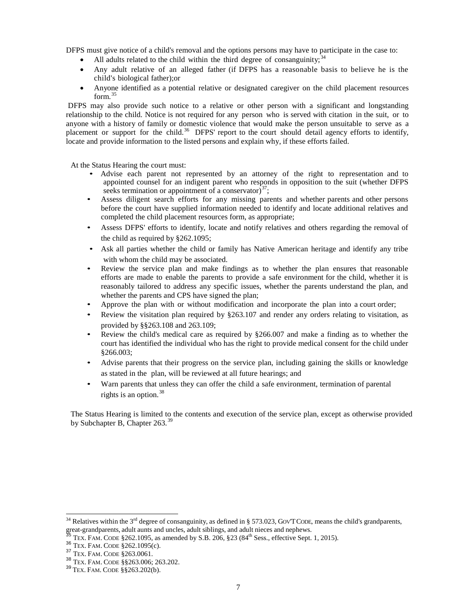DFPS must give notice of a child's removal and the options persons may have to participate in the case to:

- All adults related to the child within the third degree of consanguinity;  $34$
- Any adult relative of an alleged father (if DFPS has a reasonable basis to believe he is the child's biological father);or
- Anyone identified as a potential relative or designated caregiver on the child placement resources form. 35

DFPS may also provide such notice to a relative or other person with a significant and longstanding relationship to the child. Notice is not required for any person who is served with citation in the suit, or to anyone with a history of family or domestic violence that would make the person unsuitable to serve as a anyone with a mstory of family of domestic violence that would make the person distintance to serve as a<br>placement or support for the child.<sup>36</sup> DFPS' report to the court should detail agency efforts to identify, locate and provide information to the listed persons and explain why, if these efforts failed.

At the Status Hearing the court must:

- Advise each parent not represented by an attorney of the right to representation and to appointed counsel for an indigent parent who responds in opposition to the suit (whether DFPS seeks termination or appointment of a conservator) $37$ ;
- Assess diligent search efforts for any missing parents and whether parents and other persons before the court have supplied information needed to identify and locate additional relatives and completed the child placement resources form, as appropriate;
- Assess DFPS' efforts to identify, locate and notify relatives and others regarding the removal of the child as required by §262.1095;
- Ask all parties whether the child or family has Native American heritage and identify any tribe with whom the child may be associated.
- Review the service plan and make findings as to whether the plan ensures that reasonable efforts are made to enable the parents to provide a safe environment for the child, whether it is reasonably tailored to address any specific issues, whether the parents understand the plan, and whether the parents and CPS have signed the plan;
- Approve the plan with or without modification and incorporate the plan into a court order;
- Review the visitation plan required by §263.107 and render any orders relating to visitation, as provided by §§263.108 and 263.109;
- Review the child's medical care as required by §266.007 and make a finding as to whether the court has identified the individual who has the right to provide medical consent for the child under §266.003;
- Advise parents that their progress on the service plan, including gaining the skills or knowledge as stated in the plan, will be reviewed at all future hearings; and
- Warn parents that unless they can offer the child a safe environment, termination of parental rights is an option. 38

The Status Hearing is limited to the contents and execution of the service plan, except as otherwise provided by Subchapter B, Chapter 263.<sup>39</sup>

<sup>&</sup>lt;sup>34</sup> Relatives within the 3<sup>rd</sup> degree of consanguinity, as defined in § 573.023, GOVT CODE, means the child's grandparents, great-grandparents, adult aunts and uncles, adult siblings, and adult nieces and nephews.

 $\frac{35}{12}$  TEX. FAM. CODE §262.1095, as amended by S.B. 206, §23 (84<sup>th</sup> Sess., effective Sept. 1, 2015).

 $36$  Tex. Fam. CODE  $\S 262.1095(c)$ .

<sup>37</sup> TEX. FAM. CODE §263.0061.

<sup>38</sup> TEX. FAM. CODE §§263.006; 263.202.

<sup>39</sup> TEX. FAM. CODE §§263.202(b).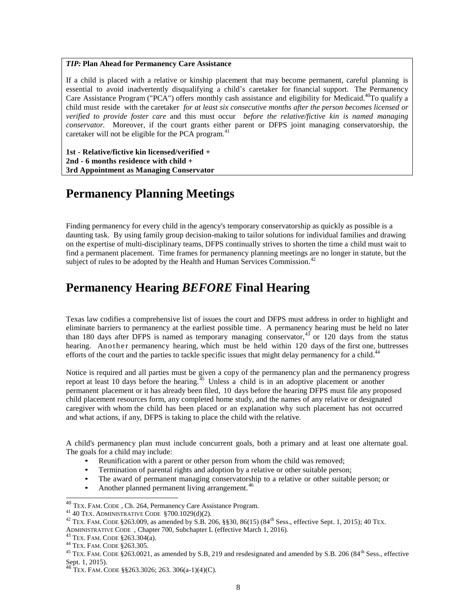#### *TIP:* **Plan Ahead for Permanency Care Assistance**

If a child is placed with a relative or kinship placement that may become permanent, careful planning is essential to avoid inadvertently disqualifying a child's caretaker for financial support. The Permanency Care Assistance Program ("PCA") offers monthly cash assistance and eligibility for Medicaid.<sup>40</sup>To qualify a child must reside with the caretaker *for at least six consecutive months after the person becomes licensed or verified to provide foster care* and this must occur *before the relative/fictive kin is named managing conservator.* Moreover, if the court grants either parent or DFPS joint managing conservatorship, the caretaker will not be eligible for the PCA program.<sup>41</sup>

**1st - Relative/fictive kin licensed/verified + 2nd - 6 months residence with child + 3rd Appointment as Managing Conservator** 

### <span id="page-7-0"></span>**Permanency Planning Meetings**

Finding permanency for every child in the agency's temporary conservatorship as quickly as possible is a daunting task. By using family group decision-making to tailor solutions for individual families and drawing on the expertise of multi-disciplinary teams, DFPS continually strives to shorten the time a child must wait to find a permanent placement. Time frames for permanency planning meetings are no longer in statute, but the subject of rules to be adopted by the Health and Human Services Commission.<sup>42</sup>

### <span id="page-7-1"></span>**Permanency Hearing** *BEFORE* **Final Hearing**

Texas law codifies a comprehensive list of issues the court and DFPS must address in order to highlight and eliminate barriers to permanency at the earliest possible time. A permanency hearing must be held no later than 180 days after DFPS is named as temporary managing conservator,  $43$  or 120 days from the status hearing. An other permanency hearing, which must be held within 120 days of the first one, buttresses efforts of the court and the parties to tackle specific issues that might delay permanency for a child.<sup>4</sup>

Notice is required and all parties must be given a copy of the permanency plan and the permanency progress report at least 10 days before the hearing.<sup>45</sup> Unless a child is in an adoptive placement or another permanent placement or it has already been filed, 10 days before the hearing DFPS must file any proposed child placement resources form, any completed home study, and the names of any relative or designated caregiver with whom the child has been placed or an explanation why such placement has not occurred and what actions, if any, DFPS is taking to place the child with the relative.

A child's permanency plan must include concurrent goals, both a primary and at least one alternate goal. The goals for a child may include:

- Reunification with a parent or other person from whom the child was removed;
- Termination of parental rights and adoption by a relative or other suitable person;
- The award of permanent managing conservatorship to a relative or other suitable person; or
- Another planned permanent living arrangement.<sup>46</sup>

<sup>&</sup>lt;sup>40</sup> TEX. FAM. CODE, Ch. 264, Permanency Care Assistance Program.

<sup>41</sup> 40 TEX. ADMINISTRATIVE CODE §700.1029(d)(2).

<sup>&</sup>lt;sup>42</sup> TEX. FAM. CODE §263.009, as amended by S.B. 206, §§30, 86(15) (84<sup>th</sup> Sess., effective Sept. 1, 2015); 40 TEX.

ADMINISTRATIVE CODE , Chapter 700, Subchapter L (effective March 1, 2016).

<sup>43</sup> TEX. FAM. CODE §263.304(a).

<sup>44</sup> TEX. FAM. CODE §263.305.

<sup>&</sup>lt;sup>45</sup> TEX. FAM. CODE §263.0021, as amended by S.B, 219 and resdesignated and amended by S.B. 206 (84<sup>th</sup> Sess., effective Sept. 1, 2015).

<sup>46</sup> TEX. FAM. CODE §§263.3026; 263. 306(a-1)(4)(C).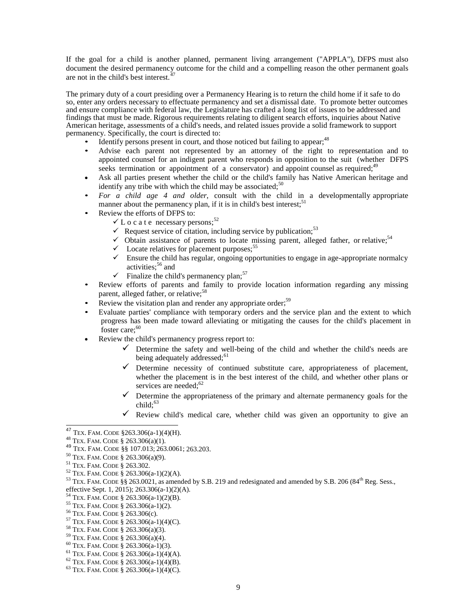If the goal for a child is another planned, permanent living arrangement ("APPLA"), DFPS must also document the desired permanency outcome for the child and a compelling reason the other permanent goals are not in the child's best interest.<sup>47</sup>

The primary duty of a court presiding over a Permanency Hearing is to return the child home if it safe to do so, enter any orders necessary to effectuate permanency and set a dismissal date. To promote better outcomes and ensure compliance with federal law, the Legislature has crafted a long list of issues to be addressed and findings that must be made. Rigorous requirements relating to diligent search efforts, inquiries about Native American heritage, assessments of a child's needs, and related issues provide a solid framework to support permanency. Specifically, the court is directed to:

- Identify persons present in court, and those noticed but failing to appear;<sup>48</sup>
- Advise each parent not represented by an attorney of the right to representation and to appointed counsel for an indigent parent who responds in opposition to the suit (whether DFPS seeks termination or appointment of a conservator) and appoint counsel as required; $49$
- Ask all parties present whether the child or the child's family has Native American heritage and identify any tribe with which the child may be associated;<sup>50</sup>
- *For a child age 4 and older*, consult with the child in a developmentally appropriate manner about the permanency plan, if it is in child's best interest; $<sup>51</sup>$ </sup>
- Review the efforts of DFPS to:
	- $\times$  L o c a t e necessary persons;<sup>52</sup>
	- Request service of citation, including service by publication;<sup>53</sup>
	- $\checkmark$  Obtain assistance of parents to locate missing parent, alleged father, or relative;<sup>54</sup>
	- $\checkmark$  Locate relatives for placement purposes;  $^{55}$
	- $\checkmark$  Ensure the child has regular, ongoing opportunities to engage in age-appropriate normalcy activities;<sup>56</sup> and
	- $\checkmark$  Finalize the child's permanency plan;<sup>57</sup>
- Review efforts of parents and family to provide location information regarding any missing parent, alleged father, or relative;<sup>58</sup>
- Review the visitation plan and render any appropriate order;<sup>59</sup>
- Evaluate parties' compliance with temporary orders and the service plan and the extent to which progress has been made toward alleviating or mitigating the causes for the child's placement in foster care;<sup>60</sup>
- Review the child's permanency progress report to:
	- $\checkmark$  Determine the safety and well-being of the child and whether the child's needs are being adequately addressed;<sup>61</sup>
	- $\checkmark$  Determine necessity of continued substitute care, appropriateness of placement, whether the placement is in the best interest of the child, and whether other plans or services are needed;<sup>62</sup>
	- $\checkmark$  Determine the appropriateness of the primary and alternate permanency goals for the child: $63$
	- Review child's medical care, whether child was given an opportunity to give an

 $\overline{a}$ 

<sup>52</sup> TEX. FAM. CODE § 263.306(a-1)(2)(A).

- <sup>54</sup> TEX. FAM. CODE § 263.306(a-1)(2)(B).
- <sup>55</sup> TEX. FAM. CODE § 263.306(a-1)(2).
- <sup>56</sup> TEX. FAM. CODE § 263.306(c).
- <sup>57</sup> TEX. FAM. CODE § 263.306(a-1)(4)(C).
- <sup>58</sup> TEX. FAM. CODE § 263.306(a)(3).
- <sup>59</sup> TEX. FAM. CODE § 263.306(a)(4).
- $60$  TEX. FAM. CODE § 263.306(a-1)(3).
- $61$  TEX. FAM. CODE  $\check{8}$  263.306(a-1)(4)(A).
- $62$  TEX. FAM. CODE § 263.306(a-1)(4)(B).
- <sup>63</sup> TEX. FAM. CODE § 263.306(a-1)(4)(C).

 $^{47}$  Tex. Fam. CODE  $$263.306(a-1)(4)(H)$ .

<sup>48</sup> TEX. FAM. CODE § 263.306(a)(1).

<sup>49</sup> TEX. FAM. CODE §§ 107.013; 263.0061; 263.203.

<sup>50</sup> TEX. FAM. CODE § 263.306(a)(9).

<sup>51</sup> TEX. FAM. CODE § 263.302.

<sup>53</sup> TEX. FAM. CODE §§ 263.0021, as amended by S.B. 219 and redesignated and amended by S.B. 206 (84th Reg. Sess., effective Sept. 1, 2015); 263.306(a-1)(2)(A).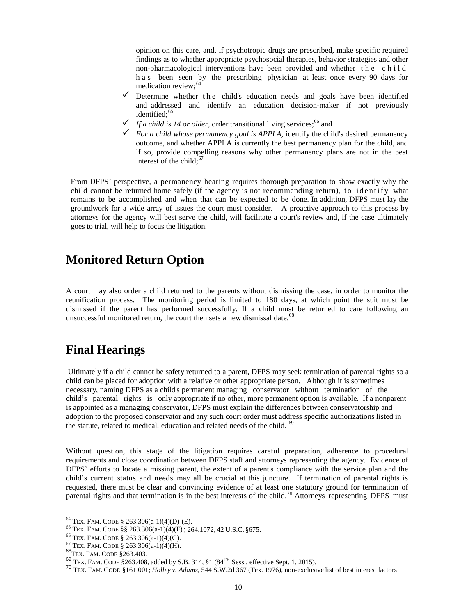opinion on this care, and, if psychotropic drugs are prescribed, make specific required findings as to whether appropriate psychosocial therapies, behavior strategies and other non-pharmacological interventions have been provided and whether t h e c h i l d h a s been seen by the prescribing physician at least once every 90 days for medication review; 64

- $\checkmark$  Determine whether the child's education needs and goals have been identified and addressed and identify an education decision-maker if not previously identified; 65
- $\checkmark$  If a child is 14 or older, order transitional living services;<sup>66</sup> and
- $\checkmark$  For a child whose permanency goal is APPLA, identify the child's desired permanency outcome, and whether APPLA is currently the best permanency plan for the child, and if so, provide compelling reasons why other permanency plans are not in the best interest of the child; $6$

From DFPS' perspective, a permanency hearing requires thorough preparation to show exactly why the child cannot be returned home safely (if the agency is not recommending return), to identify what remains to be accomplished and when that can be expected to be done. In addition, DFPS must lay the groundwork for a wide array of issues the court must consider. A proactive approach to this process by attorneys for the agency will best serve the child, will facilitate a court's review and, if the case ultimately goes to trial, will help to focus the litigation.

#### <span id="page-9-0"></span>**Monitored Return Option**

A court may also order a child returned to the parents without dismissing the case, in order to monitor the reunification process. The monitoring period is limited to 180 days, at which point the suit must be dismissed if the parent has performed successfully. If a child must be returned to care following an unsuccessful monitored return, the court then sets a new dismissal date.<sup>68</sup>

### <span id="page-9-1"></span>**Final Hearings**

Ultimately if a child cannot be safety returned to a parent, DFPS may seek termination of parental rights so a child can be placed for adoption with a relative or other appropriate person. Although it is sometimes necessary, naming DFPS as a child's permanent managing conservator without termination of the child's parental rights is only appropriate if no other, more permanent option is available. If a nonparent is appointed as a managing conservator, DFPS must explain the differences between conservatorship and adoption to the proposed conservator and any such court order must address specific authorizations listed in the statute, related to medical, education and related needs of the child. <sup>69</sup>

Without question, this stage of the litigation requires careful preparation, adherence to procedural requirements and close coordination between DFPS staff and attorneys representing the agency. Evidence of DFPS' efforts to locate a missing parent, the extent of a parent's compliance with the service plan and the child's current status and needs may all be crucial at this juncture. If termination of parental rights is requested, there must be clear and convincing evidence of at least one statutory ground for termination of parental rights and that termination is in the best interests of the child.<sup>70</sup> Attorneys representing DFPS must

 $64$  Tex. Fam. CODE § 263.306(a-1)(4)(D)-(E).

<sup>65</sup> TEX. FAM. CODE §§ 263.306(a-1)(4)(F); 264.1072; 42 U.S.C. §675.

 $66$  TEX. FAM. CODE § 263.306(a-1)(4)(G).

 $67$  TEX. FAM. CODE § 263.306(a-1)(4)(H).

<sup>68</sup>TEX. FAM. CODE §263.403.

 $^{69}$  TEX. FAM. CODE §263.408, added by S.B. 314, §1 (84<sup>TH</sup> Sess., effective Sept. 1, 2015).

<sup>70</sup> TEX. FAM. CODE §161.001; *Holley v. Adams*, 544 S.W.2d 367 (Tex. 1976), non-exclusive list of best interest factors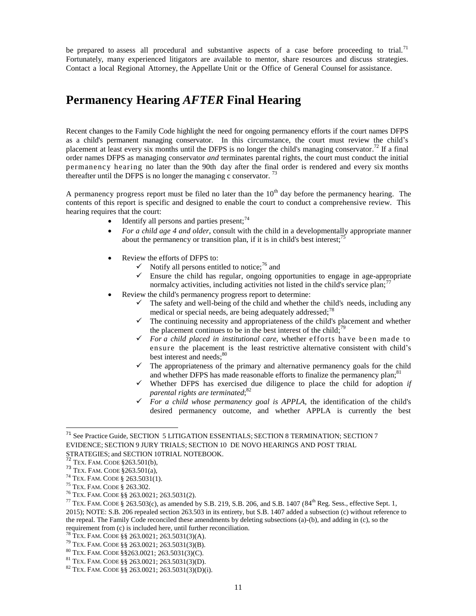be prepared to assess all procedural and substantive aspects of a case before proceeding to trial.<sup>71</sup> Fortunately, many experienced litigators are available to mentor, share resources and discuss strategies. Contact a local Regional Attorney, the Appellate Unit or the Office of General Counsel for assistance.

### <span id="page-10-0"></span>**Permanency Hearing** *AFTER* **Final Hearing**

Recent changes to the Family Code highlight the need for ongoing permanency efforts if the court names DFPS as a child's permanent managing conservator. In this circumstance, the court must review the child's placement at least every six months until the DFPS is no longer the child's managing conservator.<sup>72</sup> If a final order names DFPS as managing conservator *and* terminates parental rights, the court must conduct the initial permanency hearing no later than the 90th day after the final order is rendered and every six months thereafter until the DFPS is no longer the managing c conservator.<sup>73</sup>

A permanency progress report must be filed no later than the  $10<sup>th</sup>$  day before the permanency hearing. The contents of this report is specific and designed to enable the court to conduct a comprehensive review. This hearing requires that the court:

- Identify all persons and parties present;  $74$
- *For a child age 4 and older*, consult with the child in a developmentally appropriate manner about the permanency or transition plan, if it is in child's best interest;<sup>75</sup>
- Review the efforts of DFPS to:
	- $\checkmark$  Notify all persons entitled to notice;<sup>76</sup> and
	- $\checkmark$  Ensure the child has regular, ongoing opportunities to engage in age-appropriate normalcy activities, including activities not listed in the child's service plan; $\overline{7}$
- Review the child's permanency progress report to determine:
	- $\checkmark$  The safety and well-being of the child and whether the child's needs, including any medical or special needs, are being adequately addressed;<sup>78</sup>
	- $\checkmark$  The continuing necessity and appropriateness of the child's placement and whether the placement continues to be in the best interest of the child;<sup>79</sup>
	- $\checkmark$  *For a child placed in institutional care*, whether efforts have been made to ensure the placement is the least restrictive alternative consistent with child's best interest and needs: $80$
	- $\checkmark$  The appropriateness of the primary and alternative permanency goals for the child and whether DFPS has made reasonable efforts to finalize the permanency plan;<sup>81</sup>
	- $\checkmark$  Whether DFPS has exercised due diligence to place the child for adoption *if parental rights are terminated*; 82
	- *For a child whose permanency goal is APPLA,* the identification of the child's desired permanency outcome, and whether APPLA is currently the best

<sup>71</sup> See Practice Guide, SECTION 5 LITIGATION ESSENTIALS; SECTION 8 TERMINATION; SECTION 7 EVIDENCE; SECTION 9 JURY TRIALS; SECTION 10 DE NOVO HEARINGS AND POST TRIAL STRATEGIES; and SECTION 10TRIAL NOTEBOOK.

<sup>72</sup> TEX. FAM. CODE §263.501(b),

<sup>73</sup> TEX. FAM. CODE §263.501(a),

<sup>74</sup> TEX. FAM. CODE § 263.5031(1).

<sup>75</sup> TEX. FAM. CODE § 263.302.

<sup>76</sup> TEX. FAM. CODE §§ 263.0021; 263.5031(2).

<sup>&</sup>lt;sup>77</sup> TEX. FAM. CODE § 263.503(c), as amended by S.B. 219, S.B. 206, and S.B. 1407 (84<sup>th</sup> Reg. Sess., effective Sept. 1, 2015); NOTE: S.B. 206 repealed section 263.503 in its entirety, but S.B. 1407 added a subsection (c) without reference to the repeal. The Family Code reconciled these amendments by deleting subsections (a)-(b), and adding in (c), so the requirement from (c) is included here, until further reconciliation.

<sup>78</sup> TEX. FAM. CODE §§ 263.0021; 263.5031(3)(A).

<sup>79</sup> TEX. FAM. CODE §§ 263.0021; 263.5031(3)(B).

<sup>80</sup> TEX. FAM. CODE §§263.0021; 263.5031(3)(C).

<sup>81</sup> TEX. FAM. CODE §§ 263.0021; 263.5031(3)(D).

<sup>82</sup> TEX. FAM. CODE §§ 263.0021; 263.5031(3)(D)(i).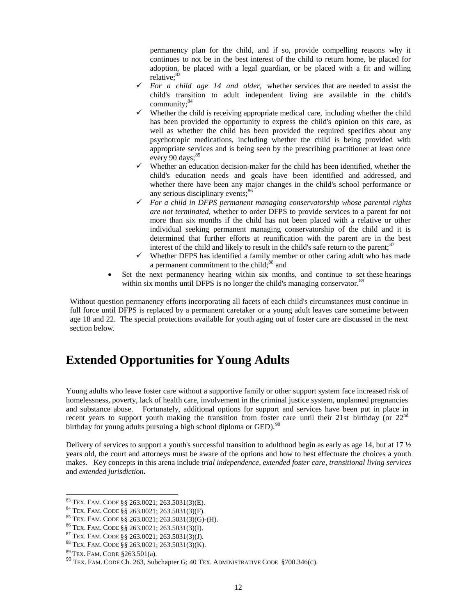permanency plan for the child, and if so, provide compelling reasons why it continues to not be in the best interest of the child to return home, be placed for adoption, be placed with a legal guardian, or be placed with a fit and willing relative;<sup>83</sup>

- $\checkmark$  For a child age 14 and older, whether services that are needed to assist the child's transition to adult independent living are available in the child's community;<sup>84</sup>
- $\checkmark$  Whether the child is receiving appropriate medical care, including whether the child has been provided the opportunity to express the child's opinion on this care, as well as whether the child has been provided the required specifics about any psychotropic medications, including whether the child is being provided with appropriate services and is being seen by the prescribing practitioner at least once every 90 days; $85$
- $\checkmark$  Whether an education decision-maker for the child has been identified, whether the child's education needs and goals have been identified and addressed, and whether there have been any major changes in the child's school performance or any serious disciplinary events:<sup>86</sup>
- *For a child in DFPS permanent managing conservatorship whose parental rights are not terminated*, whether to order DFPS to provide services to a parent for not more than six months if the child has not been placed with a relative or other individual seeking permanent managing conservatorship of the child and it is determined that further efforts at reunification with the parent are in the best interest of the child and likely to result in the child's safe return to the parent; $\frac{87}{10}$
- $\checkmark$  Whether DFPS has identified a family member or other caring adult who has made a permanent commitment to the child;<sup>88</sup> and
- Set the next permanency hearing within six months, and continue to set these hearings within six months until DFPS is no longer the child's managing conservator.<sup>89</sup>

Without question permanency efforts incorporating all facets of each child's circumstances must continue in full force until DFPS is replaced by a permanent caretaker or a young adult leaves care sometime between age 18 and 22. The special protections available for youth aging out of foster care are discussed in the next section below.

### <span id="page-11-0"></span>**Extended Opportunities for Young Adults**

Young adults who leave foster care without a supportive family or other support system face increased risk of homelessness, poverty, lack of health care, involvement in the criminal justice system, unplanned pregnancies and substance abuse. Fortunately, additional options for support and services have been put in place in recent years to support youth making the transition from foster care until their 21st birthday (or  $22<sup>nd</sup>$ birthday for young adults pursuing a high school diploma or GED).<sup>90</sup>

Delivery of services to support a youth's successful transition to adulthood begin as early as age 14, but at 17 ½ years old, the court and attorneys must be aware of the options and how to best effectuate the choices a youth makes.Key concepts in this arena include *trial independence*, *extended foster care*, *transitional living services* and *extended jurisdiction***.**

<sup>83</sup> TEX. FAM. CODE §§ 263.0021; 263.5031(3)(E).

<sup>84</sup> TEX. FAM. CODE §§ 263.0021; 263.5031(3)(F).

<sup>85</sup> TEX. FAM. CODE §§ 263.0021; 263.5031(3)(G)-(H).

<sup>86</sup> TEX. FAM. CODE §§ 263.0021; 263.5031(3)(I).

<sup>87</sup> TEX. FAM. CODE §§ 263.0021; 263.5031(3)(J).

<sup>88</sup> TEX. FAM. CODE §§ 263.0021; 263.5031(3)(K).

<sup>89</sup> TEX. FAM. CODE §263.501(a).

<sup>90</sup> TEX. FAM. CODE Ch. 263, Subchapter G; 40 TEX. ADMINISTRATIVE CODE §700.346(C).